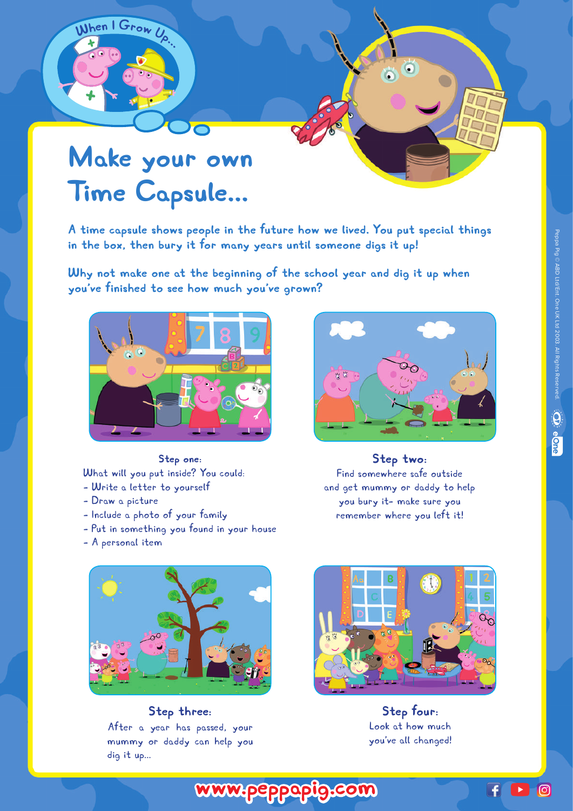## **Make your own Time Capsule...**

**<sup>W</sup>he<sup>n</sup> <sup>I</sup> <sup>G</sup><sup>r</sup>o<sup>w</sup> <sup>U</sup>p...**

**A time capsule shows people in the future how we lived. You put special things in the box, then bury it for many years until someone digs it up!** 

**Why not make one at the beginning of the school year and dig it up when you've finished to see how much you've grown?**



**Step one:**  What will you put inside? You could: - Write a letter to yourself

- Draw a picture
- Include a photo of your family
- Put in something you found in your house
- A personal item



 $\bullet$ 

Ò.

**Step two:**  Find somewhere safe outside and get mummy or daddy to help you bury it- make sure you remember where you left it!



## **Step three:**

After a year has passed, your mummy or daddy can help you dig it up...

**www.peppapig.com**



**Step four:**  Look at how much you've all changed!

 $\overline{f}$ 

 $\boxed{\odot}$ 

 $\blacktriangleright$ 

Peppa Pig © ABD Ltd/Ent. One UK Ltd 2003. All Rights Reserved Peppa Pig © ABD Ltd/Ent. One UK Ltd 2003. All Rights Reserved. $\ddot{\mathbf{Q}}$ e One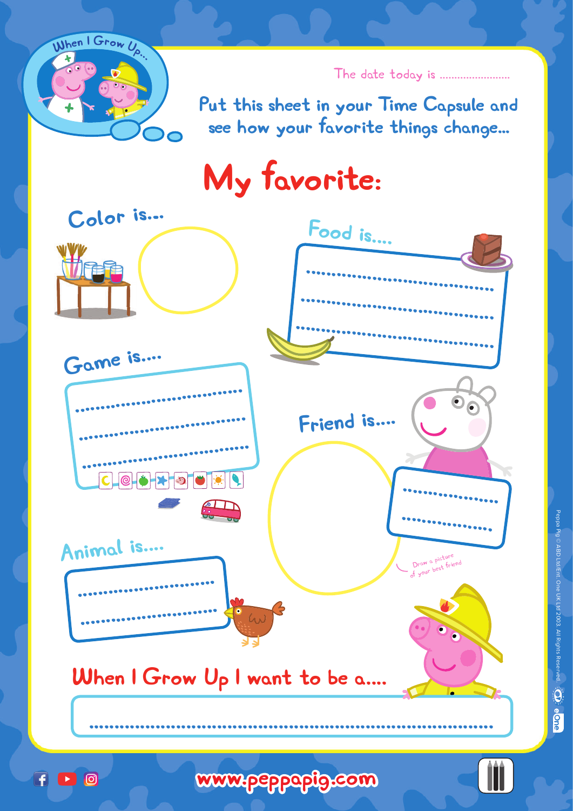

The date today is .......................

**Put this sheet in your Time Capsule and see how your favorite things change...**

**My favorite:**